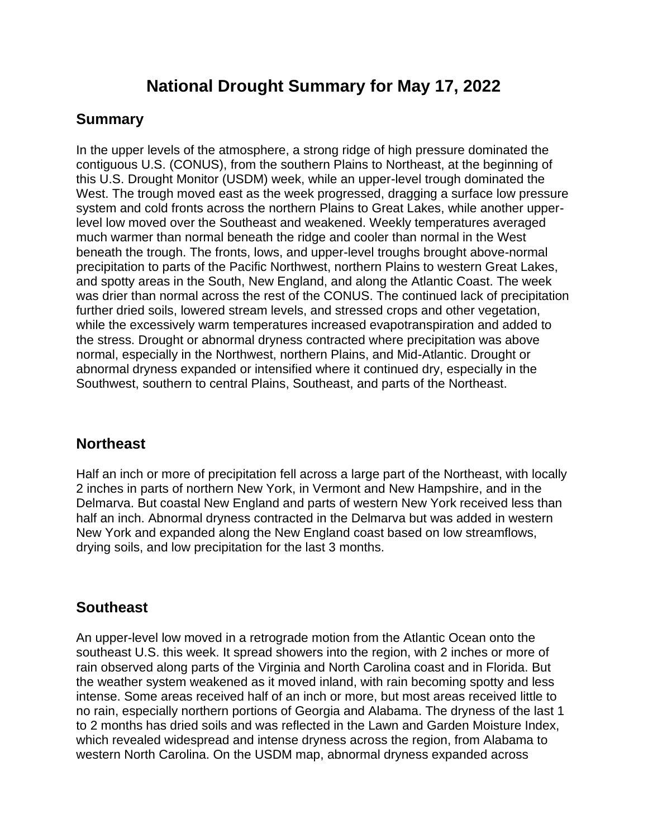# **National Drought Summary for May 17, 2022**

#### **Summary**

In the upper levels of the atmosphere, a strong ridge of high pressure dominated the contiguous U.S. (CONUS), from the southern Plains to Northeast, at the beginning of this U.S. Drought Monitor (USDM) week, while an upper-level trough dominated the West. The trough moved east as the week progressed, dragging a surface low pressure system and cold fronts across the northern Plains to Great Lakes, while another upperlevel low moved over the Southeast and weakened. Weekly temperatures averaged much warmer than normal beneath the ridge and cooler than normal in the West beneath the trough. The fronts, lows, and upper-level troughs brought above-normal precipitation to parts of the Pacific Northwest, northern Plains to western Great Lakes, and spotty areas in the South, New England, and along the Atlantic Coast. The week was drier than normal across the rest of the CONUS. The continued lack of precipitation further dried soils, lowered stream levels, and stressed crops and other vegetation, while the excessively warm temperatures increased evapotranspiration and added to the stress. Drought or abnormal dryness contracted where precipitation was above normal, especially in the Northwest, northern Plains, and Mid-Atlantic. Drought or abnormal dryness expanded or intensified where it continued dry, especially in the Southwest, southern to central Plains, Southeast, and parts of the Northeast.

#### **Northeast**

Half an inch or more of precipitation fell across a large part of the Northeast, with locally 2 inches in parts of northern New York, in Vermont and New Hampshire, and in the Delmarva. But coastal New England and parts of western New York received less than half an inch. Abnormal dryness contracted in the Delmarva but was added in western New York and expanded along the New England coast based on low streamflows, drying soils, and low precipitation for the last 3 months.

## **Southeast**

An upper-level low moved in a retrograde motion from the Atlantic Ocean onto the southeast U.S. this week. It spread showers into the region, with 2 inches or more of rain observed along parts of the Virginia and North Carolina coast and in Florida. But the weather system weakened as it moved inland, with rain becoming spotty and less intense. Some areas received half of an inch or more, but most areas received little to no rain, especially northern portions of Georgia and Alabama. The dryness of the last 1 to 2 months has dried soils and was reflected in the Lawn and Garden Moisture Index, which revealed widespread and intense dryness across the region, from Alabama to western North Carolina. On the USDM map, abnormal dryness expanded across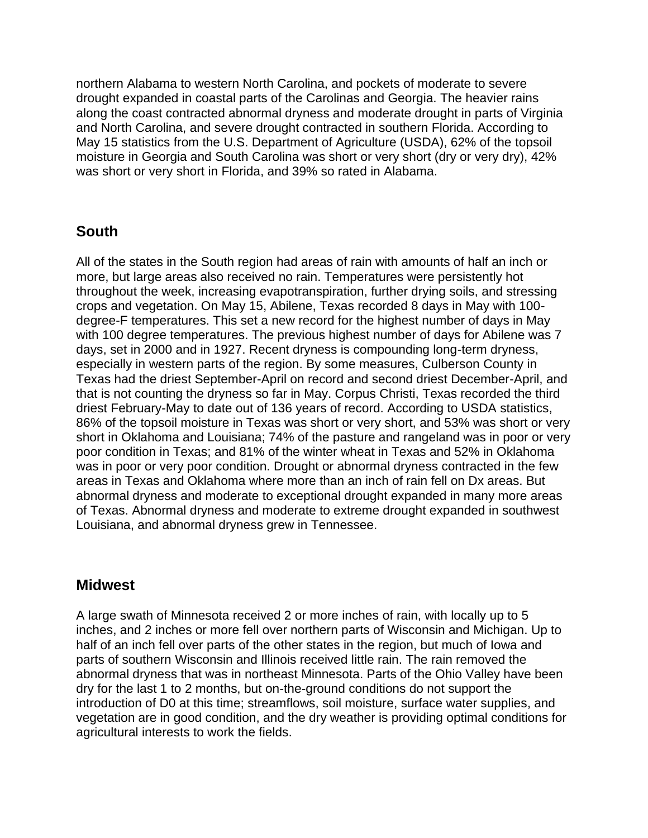northern Alabama to western North Carolina, and pockets of moderate to severe drought expanded in coastal parts of the Carolinas and Georgia. The heavier rains along the coast contracted abnormal dryness and moderate drought in parts of Virginia and North Carolina, and severe drought contracted in southern Florida. According to May 15 statistics from the U.S. Department of Agriculture (USDA), 62% of the topsoil moisture in Georgia and South Carolina was short or very short (dry or very dry), 42% was short or very short in Florida, and 39% so rated in Alabama.

#### **South**

All of the states in the South region had areas of rain with amounts of half an inch or more, but large areas also received no rain. Temperatures were persistently hot throughout the week, increasing evapotranspiration, further drying soils, and stressing crops and vegetation. On May 15, Abilene, Texas recorded 8 days in May with 100 degree-F temperatures. This set a new record for the highest number of days in May with 100 degree temperatures. The previous highest number of days for Abilene was 7 days, set in 2000 and in 1927. Recent dryness is compounding long-term dryness, especially in western parts of the region. By some measures, Culberson County in Texas had the driest September-April on record and second driest December-April, and that is not counting the dryness so far in May. Corpus Christi, Texas recorded the third driest February-May to date out of 136 years of record. According to USDA statistics, 86% of the topsoil moisture in Texas was short or very short, and 53% was short or very short in Oklahoma and Louisiana; 74% of the pasture and rangeland was in poor or very poor condition in Texas; and 81% of the winter wheat in Texas and 52% in Oklahoma was in poor or very poor condition. Drought or abnormal dryness contracted in the few areas in Texas and Oklahoma where more than an inch of rain fell on Dx areas. But abnormal dryness and moderate to exceptional drought expanded in many more areas of Texas. Abnormal dryness and moderate to extreme drought expanded in southwest Louisiana, and abnormal dryness grew in Tennessee.

#### **Midwest**

A large swath of Minnesota received 2 or more inches of rain, with locally up to 5 inches, and 2 inches or more fell over northern parts of Wisconsin and Michigan. Up to half of an inch fell over parts of the other states in the region, but much of Iowa and parts of southern Wisconsin and Illinois received little rain. The rain removed the abnormal dryness that was in northeast Minnesota. Parts of the Ohio Valley have been dry for the last 1 to 2 months, but on-the-ground conditions do not support the introduction of D0 at this time; streamflows, soil moisture, surface water supplies, and vegetation are in good condition, and the dry weather is providing optimal conditions for agricultural interests to work the fields.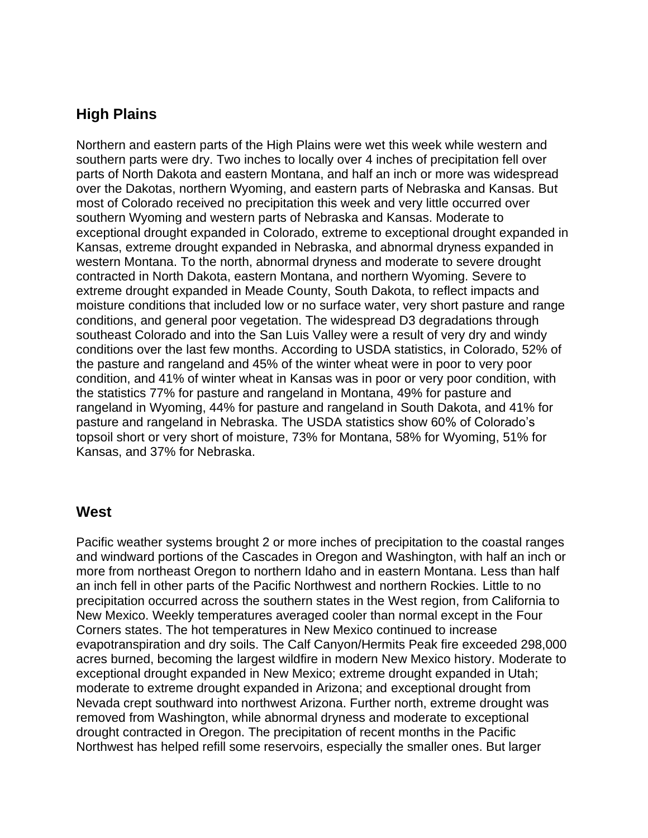#### **High Plains**

Northern and eastern parts of the High Plains were wet this week while western and southern parts were dry. Two inches to locally over 4 inches of precipitation fell over parts of North Dakota and eastern Montana, and half an inch or more was widespread over the Dakotas, northern Wyoming, and eastern parts of Nebraska and Kansas. But most of Colorado received no precipitation this week and very little occurred over southern Wyoming and western parts of Nebraska and Kansas. Moderate to exceptional drought expanded in Colorado, extreme to exceptional drought expanded in Kansas, extreme drought expanded in Nebraska, and abnormal dryness expanded in western Montana. To the north, abnormal dryness and moderate to severe drought contracted in North Dakota, eastern Montana, and northern Wyoming. Severe to extreme drought expanded in Meade County, South Dakota, to reflect impacts and moisture conditions that included low or no surface water, very short pasture and range conditions, and general poor vegetation. The widespread D3 degradations through southeast Colorado and into the San Luis Valley were a result of very dry and windy conditions over the last few months. According to USDA statistics, in Colorado, 52% of the pasture and rangeland and 45% of the winter wheat were in poor to very poor condition, and 41% of winter wheat in Kansas was in poor or very poor condition, with the statistics 77% for pasture and rangeland in Montana, 49% for pasture and rangeland in Wyoming, 44% for pasture and rangeland in South Dakota, and 41% for pasture and rangeland in Nebraska. The USDA statistics show 60% of Colorado's topsoil short or very short of moisture, 73% for Montana, 58% for Wyoming, 51% for Kansas, and 37% for Nebraska.

#### **West**

Pacific weather systems brought 2 or more inches of precipitation to the coastal ranges and windward portions of the Cascades in Oregon and Washington, with half an inch or more from northeast Oregon to northern Idaho and in eastern Montana. Less than half an inch fell in other parts of the Pacific Northwest and northern Rockies. Little to no precipitation occurred across the southern states in the West region, from California to New Mexico. Weekly temperatures averaged cooler than normal except in the Four Corners states. The hot temperatures in New Mexico continued to increase evapotranspiration and dry soils. The Calf Canyon/Hermits Peak fire exceeded 298,000 acres burned, becoming the largest wildfire in modern New Mexico history. Moderate to exceptional drought expanded in New Mexico; extreme drought expanded in Utah; moderate to extreme drought expanded in Arizona; and exceptional drought from Nevada crept southward into northwest Arizona. Further north, extreme drought was removed from Washington, while abnormal dryness and moderate to exceptional drought contracted in Oregon. The precipitation of recent months in the Pacific Northwest has helped refill some reservoirs, especially the smaller ones. But larger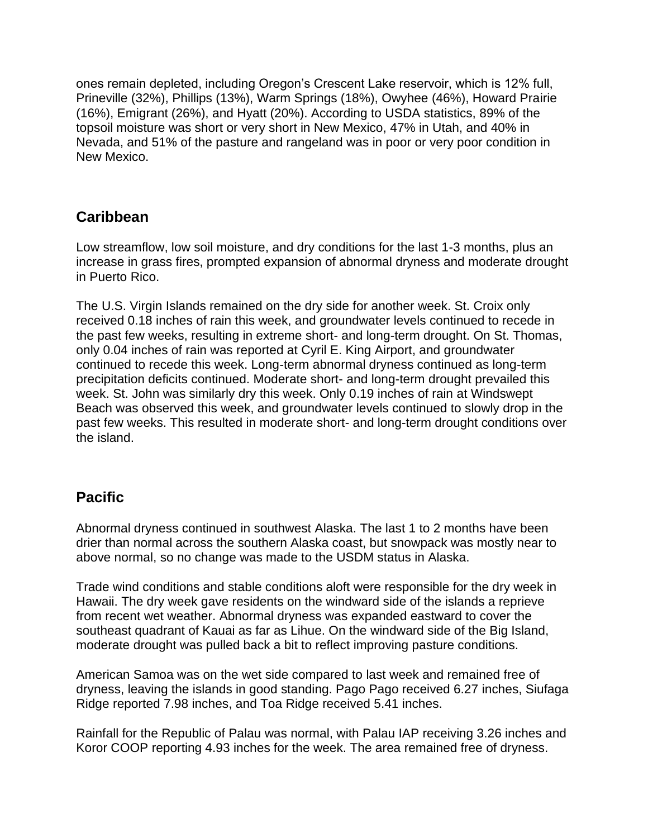ones remain depleted, including Oregon's Crescent Lake reservoir, which is 12% full, Prineville (32%), Phillips (13%), Warm Springs (18%), Owyhee (46%), Howard Prairie (16%), Emigrant (26%), and Hyatt (20%). According to USDA statistics, 89% of the topsoil moisture was short or very short in New Mexico, 47% in Utah, and 40% in Nevada, and 51% of the pasture and rangeland was in poor or very poor condition in New Mexico.

## **Caribbean**

Low streamflow, low soil moisture, and dry conditions for the last 1-3 months, plus an increase in grass fires, prompted expansion of abnormal dryness and moderate drought in Puerto Rico.

The U.S. Virgin Islands remained on the dry side for another week. St. Croix only received 0.18 inches of rain this week, and groundwater levels continued to recede in the past few weeks, resulting in extreme short- and long-term drought. On St. Thomas, only 0.04 inches of rain was reported at Cyril E. King Airport, and groundwater continued to recede this week. Long-term abnormal dryness continued as long-term precipitation deficits continued. Moderate short- and long-term drought prevailed this week. St. John was similarly dry this week. Only 0.19 inches of rain at Windswept Beach was observed this week, and groundwater levels continued to slowly drop in the past few weeks. This resulted in moderate short- and long-term drought conditions over the island.

## **Pacific**

Abnormal dryness continued in southwest Alaska. The last 1 to 2 months have been drier than normal across the southern Alaska coast, but snowpack was mostly near to above normal, so no change was made to the USDM status in Alaska.

Trade wind conditions and stable conditions aloft were responsible for the dry week in Hawaii. The dry week gave residents on the windward side of the islands a reprieve from recent wet weather. Abnormal dryness was expanded eastward to cover the southeast quadrant of Kauai as far as Lihue. On the windward side of the Big Island, moderate drought was pulled back a bit to reflect improving pasture conditions.

American Samoa was on the wet side compared to last week and remained free of dryness, leaving the islands in good standing. Pago Pago received 6.27 inches, Siufaga Ridge reported 7.98 inches, and Toa Ridge received 5.41 inches.

Rainfall for the Republic of Palau was normal, with Palau IAP receiving 3.26 inches and Koror COOP reporting 4.93 inches for the week. The area remained free of dryness.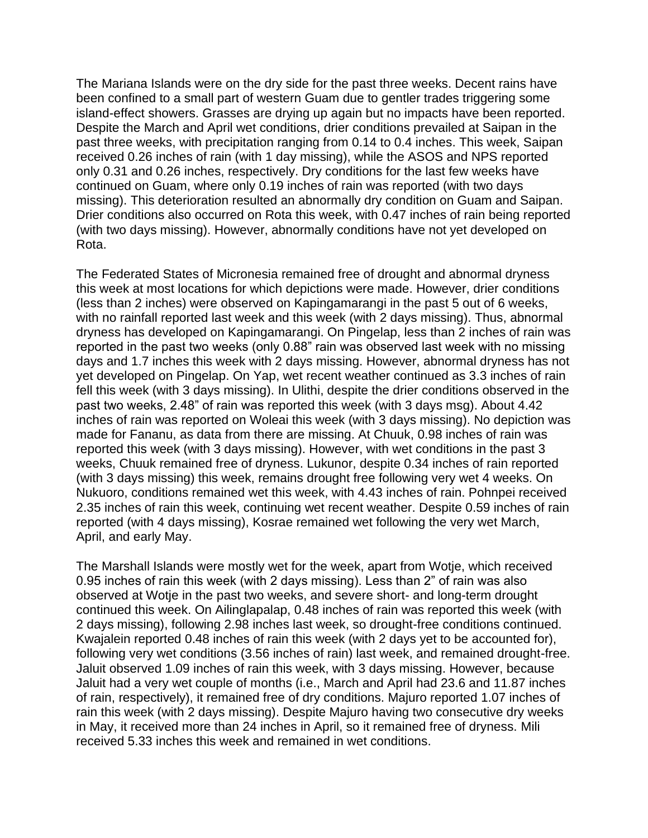The Mariana Islands were on the dry side for the past three weeks. Decent rains have been confined to a small part of western Guam due to gentler trades triggering some island-effect showers. Grasses are drying up again but no impacts have been reported. Despite the March and April wet conditions, drier conditions prevailed at Saipan in the past three weeks, with precipitation ranging from 0.14 to 0.4 inches. This week, Saipan received 0.26 inches of rain (with 1 day missing), while the ASOS and NPS reported only 0.31 and 0.26 inches, respectively. Dry conditions for the last few weeks have continued on Guam, where only 0.19 inches of rain was reported (with two days missing). This deterioration resulted an abnormally dry condition on Guam and Saipan. Drier conditions also occurred on Rota this week, with 0.47 inches of rain being reported (with two days missing). However, abnormally conditions have not yet developed on Rota.

The Federated States of Micronesia remained free of drought and abnormal dryness this week at most locations for which depictions were made. However, drier conditions (less than 2 inches) were observed on Kapingamarangi in the past 5 out of 6 weeks, with no rainfall reported last week and this week (with 2 days missing). Thus, abnormal dryness has developed on Kapingamarangi. On Pingelap, less than 2 inches of rain was reported in the past two weeks (only 0.88" rain was observed last week with no missing days and 1.7 inches this week with 2 days missing. However, abnormal dryness has not yet developed on Pingelap. On Yap, wet recent weather continued as 3.3 inches of rain fell this week (with 3 days missing). In Ulithi, despite the drier conditions observed in the past two weeks, 2.48" of rain was reported this week (with 3 days msg). About 4.42 inches of rain was reported on Woleai this week (with 3 days missing). No depiction was made for Fananu, as data from there are missing. At Chuuk, 0.98 inches of rain was reported this week (with 3 days missing). However, with wet conditions in the past 3 weeks, Chuuk remained free of dryness. Lukunor, despite 0.34 inches of rain reported (with 3 days missing) this week, remains drought free following very wet 4 weeks. On Nukuoro, conditions remained wet this week, with 4.43 inches of rain. Pohnpei received 2.35 inches of rain this week, continuing wet recent weather. Despite 0.59 inches of rain reported (with 4 days missing), Kosrae remained wet following the very wet March, April, and early May.

The Marshall Islands were mostly wet for the week, apart from Wotje, which received 0.95 inches of rain this week (with 2 days missing). Less than 2" of rain was also observed at Wotje in the past two weeks, and severe short- and long-term drought continued this week. On Ailinglapalap, 0.48 inches of rain was reported this week (with 2 days missing), following 2.98 inches last week, so drought-free conditions continued. Kwajalein reported 0.48 inches of rain this week (with 2 days yet to be accounted for), following very wet conditions (3.56 inches of rain) last week, and remained drought-free. Jaluit observed 1.09 inches of rain this week, with 3 days missing. However, because Jaluit had a very wet couple of months (i.e., March and April had 23.6 and 11.87 inches of rain, respectively), it remained free of dry conditions. Majuro reported 1.07 inches of rain this week (with 2 days missing). Despite Majuro having two consecutive dry weeks in May, it received more than 24 inches in April, so it remained free of dryness. Mili received 5.33 inches this week and remained in wet conditions.